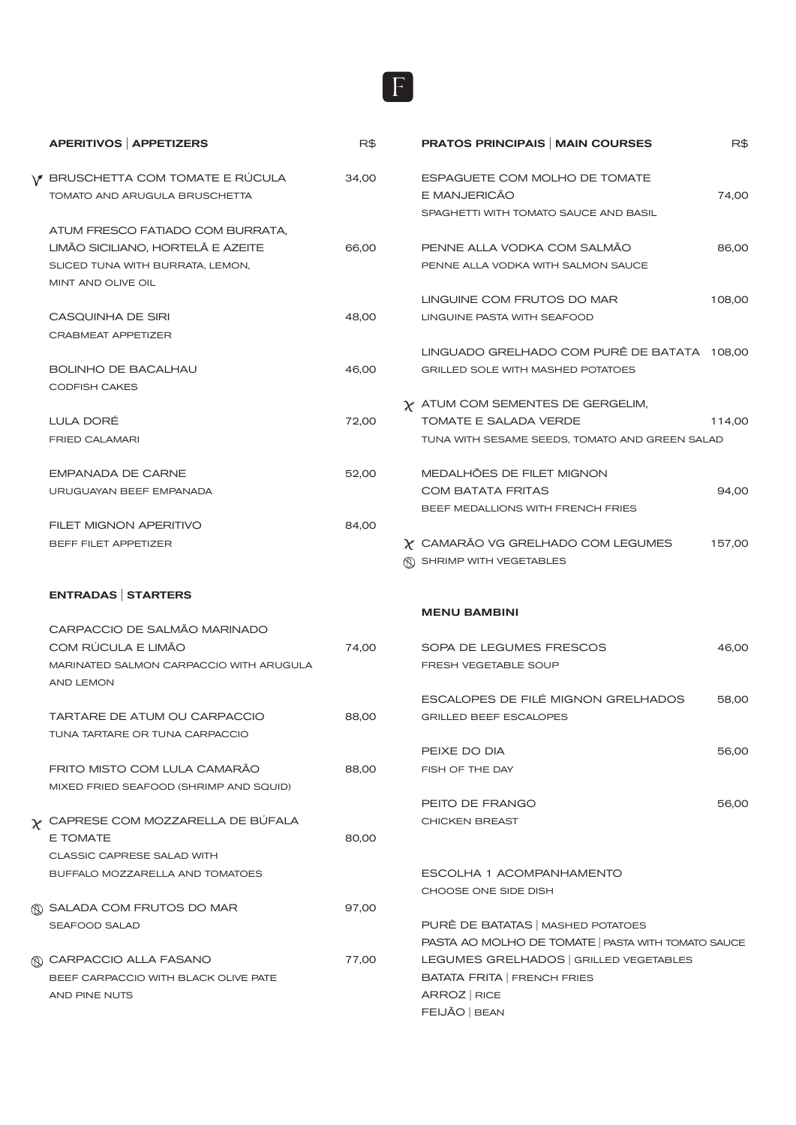| V BRUSCHETTA COM TOMATE E RÚCULA<br>34,00<br>ESPAGUETE COM MOLHO DE TOMATE<br>E MANJERICÃO<br>74,00<br>TOMATO AND ARUGULA BRUSCHETTA<br>SPAGHETTI WITH TOMATO SAUCE AND BASIL<br>ATUM FRESCO FATIADO COM BURRATA,<br>LIMÃO SICILIANO, HORTELÃ E AZEITE<br>66,00<br>PENNE ALLA VODKA COM SALMÃO<br>86,00<br>SLICED TUNA WITH BURRATA, LEMON,<br>PENNE ALLA VODKA WITH SALMON SAUCE<br>MINT AND OLIVE OIL<br>LINGUINE COM FRUTOS DO MAR<br>108,00<br>CASQUINHA DE SIRI<br>48,00<br>LINGUINE PASTA WITH SEAFOOD<br><b>CRABMEAT APPETIZER</b><br>LINGUADO GRELHADO COM PURÊ DE BATATA 108,00<br><b>BOLINHO DE BACALHAU</b><br>46,00<br><b>GRILLED SOLE WITH MASHED POTATOES</b><br><b>CODFISH CAKES</b><br>$\chi$ ATUM COM SEMENTES DE GERGELIM,<br>LULA DORÉ<br>72,00<br>TOMATE E SALADA VERDE<br>114,00<br>TUNA WITH SESAME SEEDS, TOMATO AND GREEN SALAD<br><b>FRIED CALAMARI</b><br>MEDALHÕES DE FILET MIGNON<br><b>EMPANADA DE CARNE</b><br>52,00<br><b>COM BATATA FRITAS</b><br>94,00<br>URUGUAYAN BEEF EMPANADA<br>BEEF MEDALLIONS WITH FRENCH FRIES<br>FILET MIGNON APERITIVO<br>84,00<br>$\chi$ CAMARÃO VG GRELHADO COM LEGUMES<br>157,00<br>BEFF FILET APPETIZER<br><b>M SHRIMP WITH VEGETABLES</b><br><b>ENTRADAS STARTERS</b><br><b>MENU BAMBINI</b><br>CARPACCIO DE SALMÃO MARINADO<br>COM RÚCULA E LIMÃO<br>74,00<br>SOPA DE LEGUMES FRESCOS<br>46,00<br>MARINATED SALMON CARPACCIO WITH ARUGULA<br>FRESH VEGETABLE SOUP<br>AND LEMON<br>ESCALOPES DE FILÉ MIGNON GRELHADOS<br>58.00<br>TARTARE DE ATUM OU CARPACCIO<br>88,00<br><b>GRILLED BEEF ESCALOPES</b><br>TUNA TARTARE OR TUNA CARPACCIO<br>PEIXE DO DIA<br>56,00<br>FRITO MISTO COM LULA CAMARÃO<br>88,00<br>FISH OF THE DAY<br>MIXED FRIED SEAFOOD (SHRIMP AND SQUID)<br>PEITO DE FRANGO<br>56,00<br>$\chi$ CAPRESE COM MOZZARELLA DE BÚFALA<br><b>CHICKEN BREAST</b><br>E TOMATE<br>80,00<br>CLASSIC CAPRESE SALAD WITH<br>ESCOLHA 1 ACOMPANHAMENTO<br>BUFFALO MOZZARELLA AND TOMATOES<br>CHOOSE ONE SIDE DISH<br>M SALADA COM FRUTOS DO MAR<br>97,00<br>PURÊ DE BATATAS   MASHED POTATOES<br><b>SEAFOOD SALAD</b><br>PASTA AO MOLHO DE TOMATE   PASTA WITH TOMATO SAUCE<br>LEGUMES GRELHADOS   GRILLED VEGETABLES<br>M CARPACCIO ALLA FASANO<br>77,00<br><b>BATATA FRITA   FRENCH FRIES</b><br>BEEF CARPACCIO WITH BLACK OLIVE PATE<br>ARROZ   RICE<br>AND PINE NUTS<br>FEIJÃO   BEAN | <b>APERITIVOS APPETIZERS</b> | R\$ | <b>PRATOS PRINCIPAIS   MAIN COURSES</b> | R\$ |
|-------------------------------------------------------------------------------------------------------------------------------------------------------------------------------------------------------------------------------------------------------------------------------------------------------------------------------------------------------------------------------------------------------------------------------------------------------------------------------------------------------------------------------------------------------------------------------------------------------------------------------------------------------------------------------------------------------------------------------------------------------------------------------------------------------------------------------------------------------------------------------------------------------------------------------------------------------------------------------------------------------------------------------------------------------------------------------------------------------------------------------------------------------------------------------------------------------------------------------------------------------------------------------------------------------------------------------------------------------------------------------------------------------------------------------------------------------------------------------------------------------------------------------------------------------------------------------------------------------------------------------------------------------------------------------------------------------------------------------------------------------------------------------------------------------------------------------------------------------------------------------------------------------------------------------------------------------------------------------------------------------------------------------------------------------------------------------------------------------------------------------------------------------------------------------------------------------------------------------------------------------------------------------------------------------------------------------------------------------------|------------------------------|-----|-----------------------------------------|-----|
|                                                                                                                                                                                                                                                                                                                                                                                                                                                                                                                                                                                                                                                                                                                                                                                                                                                                                                                                                                                                                                                                                                                                                                                                                                                                                                                                                                                                                                                                                                                                                                                                                                                                                                                                                                                                                                                                                                                                                                                                                                                                                                                                                                                                                                                                                                                                                             |                              |     |                                         |     |
|                                                                                                                                                                                                                                                                                                                                                                                                                                                                                                                                                                                                                                                                                                                                                                                                                                                                                                                                                                                                                                                                                                                                                                                                                                                                                                                                                                                                                                                                                                                                                                                                                                                                                                                                                                                                                                                                                                                                                                                                                                                                                                                                                                                                                                                                                                                                                             |                              |     |                                         |     |
|                                                                                                                                                                                                                                                                                                                                                                                                                                                                                                                                                                                                                                                                                                                                                                                                                                                                                                                                                                                                                                                                                                                                                                                                                                                                                                                                                                                                                                                                                                                                                                                                                                                                                                                                                                                                                                                                                                                                                                                                                                                                                                                                                                                                                                                                                                                                                             |                              |     |                                         |     |
|                                                                                                                                                                                                                                                                                                                                                                                                                                                                                                                                                                                                                                                                                                                                                                                                                                                                                                                                                                                                                                                                                                                                                                                                                                                                                                                                                                                                                                                                                                                                                                                                                                                                                                                                                                                                                                                                                                                                                                                                                                                                                                                                                                                                                                                                                                                                                             |                              |     |                                         |     |
|                                                                                                                                                                                                                                                                                                                                                                                                                                                                                                                                                                                                                                                                                                                                                                                                                                                                                                                                                                                                                                                                                                                                                                                                                                                                                                                                                                                                                                                                                                                                                                                                                                                                                                                                                                                                                                                                                                                                                                                                                                                                                                                                                                                                                                                                                                                                                             |                              |     |                                         |     |
|                                                                                                                                                                                                                                                                                                                                                                                                                                                                                                                                                                                                                                                                                                                                                                                                                                                                                                                                                                                                                                                                                                                                                                                                                                                                                                                                                                                                                                                                                                                                                                                                                                                                                                                                                                                                                                                                                                                                                                                                                                                                                                                                                                                                                                                                                                                                                             |                              |     |                                         |     |
|                                                                                                                                                                                                                                                                                                                                                                                                                                                                                                                                                                                                                                                                                                                                                                                                                                                                                                                                                                                                                                                                                                                                                                                                                                                                                                                                                                                                                                                                                                                                                                                                                                                                                                                                                                                                                                                                                                                                                                                                                                                                                                                                                                                                                                                                                                                                                             |                              |     |                                         |     |
|                                                                                                                                                                                                                                                                                                                                                                                                                                                                                                                                                                                                                                                                                                                                                                                                                                                                                                                                                                                                                                                                                                                                                                                                                                                                                                                                                                                                                                                                                                                                                                                                                                                                                                                                                                                                                                                                                                                                                                                                                                                                                                                                                                                                                                                                                                                                                             |                              |     |                                         |     |
|                                                                                                                                                                                                                                                                                                                                                                                                                                                                                                                                                                                                                                                                                                                                                                                                                                                                                                                                                                                                                                                                                                                                                                                                                                                                                                                                                                                                                                                                                                                                                                                                                                                                                                                                                                                                                                                                                                                                                                                                                                                                                                                                                                                                                                                                                                                                                             |                              |     |                                         |     |
|                                                                                                                                                                                                                                                                                                                                                                                                                                                                                                                                                                                                                                                                                                                                                                                                                                                                                                                                                                                                                                                                                                                                                                                                                                                                                                                                                                                                                                                                                                                                                                                                                                                                                                                                                                                                                                                                                                                                                                                                                                                                                                                                                                                                                                                                                                                                                             |                              |     |                                         |     |
|                                                                                                                                                                                                                                                                                                                                                                                                                                                                                                                                                                                                                                                                                                                                                                                                                                                                                                                                                                                                                                                                                                                                                                                                                                                                                                                                                                                                                                                                                                                                                                                                                                                                                                                                                                                                                                                                                                                                                                                                                                                                                                                                                                                                                                                                                                                                                             |                              |     |                                         |     |
|                                                                                                                                                                                                                                                                                                                                                                                                                                                                                                                                                                                                                                                                                                                                                                                                                                                                                                                                                                                                                                                                                                                                                                                                                                                                                                                                                                                                                                                                                                                                                                                                                                                                                                                                                                                                                                                                                                                                                                                                                                                                                                                                                                                                                                                                                                                                                             |                              |     |                                         |     |
|                                                                                                                                                                                                                                                                                                                                                                                                                                                                                                                                                                                                                                                                                                                                                                                                                                                                                                                                                                                                                                                                                                                                                                                                                                                                                                                                                                                                                                                                                                                                                                                                                                                                                                                                                                                                                                                                                                                                                                                                                                                                                                                                                                                                                                                                                                                                                             |                              |     |                                         |     |
|                                                                                                                                                                                                                                                                                                                                                                                                                                                                                                                                                                                                                                                                                                                                                                                                                                                                                                                                                                                                                                                                                                                                                                                                                                                                                                                                                                                                                                                                                                                                                                                                                                                                                                                                                                                                                                                                                                                                                                                                                                                                                                                                                                                                                                                                                                                                                             |                              |     |                                         |     |
|                                                                                                                                                                                                                                                                                                                                                                                                                                                                                                                                                                                                                                                                                                                                                                                                                                                                                                                                                                                                                                                                                                                                                                                                                                                                                                                                                                                                                                                                                                                                                                                                                                                                                                                                                                                                                                                                                                                                                                                                                                                                                                                                                                                                                                                                                                                                                             |                              |     |                                         |     |
|                                                                                                                                                                                                                                                                                                                                                                                                                                                                                                                                                                                                                                                                                                                                                                                                                                                                                                                                                                                                                                                                                                                                                                                                                                                                                                                                                                                                                                                                                                                                                                                                                                                                                                                                                                                                                                                                                                                                                                                                                                                                                                                                                                                                                                                                                                                                                             |                              |     |                                         |     |
|                                                                                                                                                                                                                                                                                                                                                                                                                                                                                                                                                                                                                                                                                                                                                                                                                                                                                                                                                                                                                                                                                                                                                                                                                                                                                                                                                                                                                                                                                                                                                                                                                                                                                                                                                                                                                                                                                                                                                                                                                                                                                                                                                                                                                                                                                                                                                             |                              |     |                                         |     |
|                                                                                                                                                                                                                                                                                                                                                                                                                                                                                                                                                                                                                                                                                                                                                                                                                                                                                                                                                                                                                                                                                                                                                                                                                                                                                                                                                                                                                                                                                                                                                                                                                                                                                                                                                                                                                                                                                                                                                                                                                                                                                                                                                                                                                                                                                                                                                             |                              |     |                                         |     |
|                                                                                                                                                                                                                                                                                                                                                                                                                                                                                                                                                                                                                                                                                                                                                                                                                                                                                                                                                                                                                                                                                                                                                                                                                                                                                                                                                                                                                                                                                                                                                                                                                                                                                                                                                                                                                                                                                                                                                                                                                                                                                                                                                                                                                                                                                                                                                             |                              |     |                                         |     |
|                                                                                                                                                                                                                                                                                                                                                                                                                                                                                                                                                                                                                                                                                                                                                                                                                                                                                                                                                                                                                                                                                                                                                                                                                                                                                                                                                                                                                                                                                                                                                                                                                                                                                                                                                                                                                                                                                                                                                                                                                                                                                                                                                                                                                                                                                                                                                             |                              |     |                                         |     |
|                                                                                                                                                                                                                                                                                                                                                                                                                                                                                                                                                                                                                                                                                                                                                                                                                                                                                                                                                                                                                                                                                                                                                                                                                                                                                                                                                                                                                                                                                                                                                                                                                                                                                                                                                                                                                                                                                                                                                                                                                                                                                                                                                                                                                                                                                                                                                             |                              |     |                                         |     |
|                                                                                                                                                                                                                                                                                                                                                                                                                                                                                                                                                                                                                                                                                                                                                                                                                                                                                                                                                                                                                                                                                                                                                                                                                                                                                                                                                                                                                                                                                                                                                                                                                                                                                                                                                                                                                                                                                                                                                                                                                                                                                                                                                                                                                                                                                                                                                             |                              |     |                                         |     |
|                                                                                                                                                                                                                                                                                                                                                                                                                                                                                                                                                                                                                                                                                                                                                                                                                                                                                                                                                                                                                                                                                                                                                                                                                                                                                                                                                                                                                                                                                                                                                                                                                                                                                                                                                                                                                                                                                                                                                                                                                                                                                                                                                                                                                                                                                                                                                             |                              |     |                                         |     |
|                                                                                                                                                                                                                                                                                                                                                                                                                                                                                                                                                                                                                                                                                                                                                                                                                                                                                                                                                                                                                                                                                                                                                                                                                                                                                                                                                                                                                                                                                                                                                                                                                                                                                                                                                                                                                                                                                                                                                                                                                                                                                                                                                                                                                                                                                                                                                             |                              |     |                                         |     |
|                                                                                                                                                                                                                                                                                                                                                                                                                                                                                                                                                                                                                                                                                                                                                                                                                                                                                                                                                                                                                                                                                                                                                                                                                                                                                                                                                                                                                                                                                                                                                                                                                                                                                                                                                                                                                                                                                                                                                                                                                                                                                                                                                                                                                                                                                                                                                             |                              |     |                                         |     |
|                                                                                                                                                                                                                                                                                                                                                                                                                                                                                                                                                                                                                                                                                                                                                                                                                                                                                                                                                                                                                                                                                                                                                                                                                                                                                                                                                                                                                                                                                                                                                                                                                                                                                                                                                                                                                                                                                                                                                                                                                                                                                                                                                                                                                                                                                                                                                             |                              |     |                                         |     |
|                                                                                                                                                                                                                                                                                                                                                                                                                                                                                                                                                                                                                                                                                                                                                                                                                                                                                                                                                                                                                                                                                                                                                                                                                                                                                                                                                                                                                                                                                                                                                                                                                                                                                                                                                                                                                                                                                                                                                                                                                                                                                                                                                                                                                                                                                                                                                             |                              |     |                                         |     |
|                                                                                                                                                                                                                                                                                                                                                                                                                                                                                                                                                                                                                                                                                                                                                                                                                                                                                                                                                                                                                                                                                                                                                                                                                                                                                                                                                                                                                                                                                                                                                                                                                                                                                                                                                                                                                                                                                                                                                                                                                                                                                                                                                                                                                                                                                                                                                             |                              |     |                                         |     |
|                                                                                                                                                                                                                                                                                                                                                                                                                                                                                                                                                                                                                                                                                                                                                                                                                                                                                                                                                                                                                                                                                                                                                                                                                                                                                                                                                                                                                                                                                                                                                                                                                                                                                                                                                                                                                                                                                                                                                                                                                                                                                                                                                                                                                                                                                                                                                             |                              |     |                                         |     |
|                                                                                                                                                                                                                                                                                                                                                                                                                                                                                                                                                                                                                                                                                                                                                                                                                                                                                                                                                                                                                                                                                                                                                                                                                                                                                                                                                                                                                                                                                                                                                                                                                                                                                                                                                                                                                                                                                                                                                                                                                                                                                                                                                                                                                                                                                                                                                             |                              |     |                                         |     |
|                                                                                                                                                                                                                                                                                                                                                                                                                                                                                                                                                                                                                                                                                                                                                                                                                                                                                                                                                                                                                                                                                                                                                                                                                                                                                                                                                                                                                                                                                                                                                                                                                                                                                                                                                                                                                                                                                                                                                                                                                                                                                                                                                                                                                                                                                                                                                             |                              |     |                                         |     |
|                                                                                                                                                                                                                                                                                                                                                                                                                                                                                                                                                                                                                                                                                                                                                                                                                                                                                                                                                                                                                                                                                                                                                                                                                                                                                                                                                                                                                                                                                                                                                                                                                                                                                                                                                                                                                                                                                                                                                                                                                                                                                                                                                                                                                                                                                                                                                             |                              |     |                                         |     |
|                                                                                                                                                                                                                                                                                                                                                                                                                                                                                                                                                                                                                                                                                                                                                                                                                                                                                                                                                                                                                                                                                                                                                                                                                                                                                                                                                                                                                                                                                                                                                                                                                                                                                                                                                                                                                                                                                                                                                                                                                                                                                                                                                                                                                                                                                                                                                             |                              |     |                                         |     |
|                                                                                                                                                                                                                                                                                                                                                                                                                                                                                                                                                                                                                                                                                                                                                                                                                                                                                                                                                                                                                                                                                                                                                                                                                                                                                                                                                                                                                                                                                                                                                                                                                                                                                                                                                                                                                                                                                                                                                                                                                                                                                                                                                                                                                                                                                                                                                             |                              |     |                                         |     |
|                                                                                                                                                                                                                                                                                                                                                                                                                                                                                                                                                                                                                                                                                                                                                                                                                                                                                                                                                                                                                                                                                                                                                                                                                                                                                                                                                                                                                                                                                                                                                                                                                                                                                                                                                                                                                                                                                                                                                                                                                                                                                                                                                                                                                                                                                                                                                             |                              |     |                                         |     |
|                                                                                                                                                                                                                                                                                                                                                                                                                                                                                                                                                                                                                                                                                                                                                                                                                                                                                                                                                                                                                                                                                                                                                                                                                                                                                                                                                                                                                                                                                                                                                                                                                                                                                                                                                                                                                                                                                                                                                                                                                                                                                                                                                                                                                                                                                                                                                             |                              |     |                                         |     |
|                                                                                                                                                                                                                                                                                                                                                                                                                                                                                                                                                                                                                                                                                                                                                                                                                                                                                                                                                                                                                                                                                                                                                                                                                                                                                                                                                                                                                                                                                                                                                                                                                                                                                                                                                                                                                                                                                                                                                                                                                                                                                                                                                                                                                                                                                                                                                             |                              |     |                                         |     |
|                                                                                                                                                                                                                                                                                                                                                                                                                                                                                                                                                                                                                                                                                                                                                                                                                                                                                                                                                                                                                                                                                                                                                                                                                                                                                                                                                                                                                                                                                                                                                                                                                                                                                                                                                                                                                                                                                                                                                                                                                                                                                                                                                                                                                                                                                                                                                             |                              |     |                                         |     |
|                                                                                                                                                                                                                                                                                                                                                                                                                                                                                                                                                                                                                                                                                                                                                                                                                                                                                                                                                                                                                                                                                                                                                                                                                                                                                                                                                                                                                                                                                                                                                                                                                                                                                                                                                                                                                                                                                                                                                                                                                                                                                                                                                                                                                                                                                                                                                             |                              |     |                                         |     |
|                                                                                                                                                                                                                                                                                                                                                                                                                                                                                                                                                                                                                                                                                                                                                                                                                                                                                                                                                                                                                                                                                                                                                                                                                                                                                                                                                                                                                                                                                                                                                                                                                                                                                                                                                                                                                                                                                                                                                                                                                                                                                                                                                                                                                                                                                                                                                             |                              |     |                                         |     |
|                                                                                                                                                                                                                                                                                                                                                                                                                                                                                                                                                                                                                                                                                                                                                                                                                                                                                                                                                                                                                                                                                                                                                                                                                                                                                                                                                                                                                                                                                                                                                                                                                                                                                                                                                                                                                                                                                                                                                                                                                                                                                                                                                                                                                                                                                                                                                             |                              |     |                                         |     |
|                                                                                                                                                                                                                                                                                                                                                                                                                                                                                                                                                                                                                                                                                                                                                                                                                                                                                                                                                                                                                                                                                                                                                                                                                                                                                                                                                                                                                                                                                                                                                                                                                                                                                                                                                                                                                                                                                                                                                                                                                                                                                                                                                                                                                                                                                                                                                             |                              |     |                                         |     |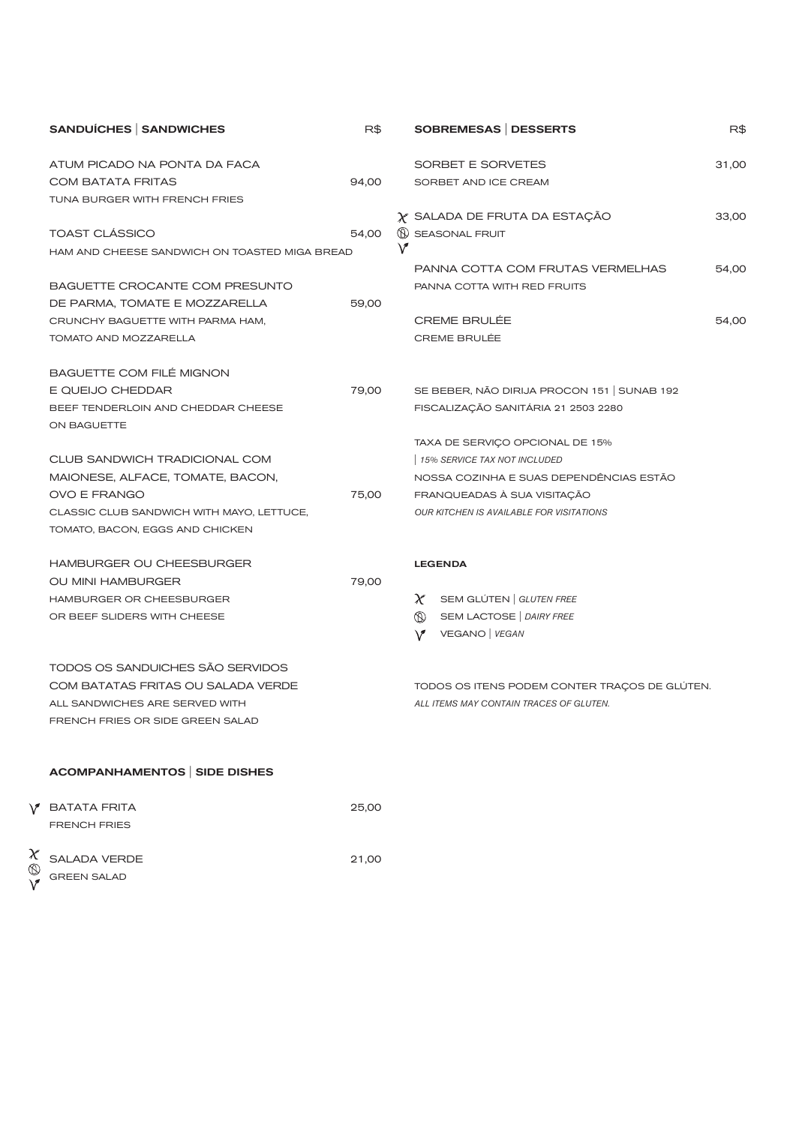| <b>SANDUÍCHES   SANDWICHES</b>                                                               | R\$   | SOBREMESAS   DESSERTS                         | R\$   |
|----------------------------------------------------------------------------------------------|-------|-----------------------------------------------|-------|
| ATUM PICADO NA PONTA DA FACA                                                                 |       | SORBET E SORVETES                             | 31,00 |
| <b>COM BATATA FRITAS</b>                                                                     | 94,00 | SORBET AND ICE CREAM                          |       |
| TUNA BURGER WITH FRENCH FRIES                                                                |       |                                               |       |
|                                                                                              |       | $\chi$ SALADA DE FRUTA DA ESTAÇÃO             | 33,00 |
| <b>TOAST CLÁSSICO</b>                                                                        | 54.00 | <b>SEASONAL FRUIT</b>                         |       |
| HAM AND CHEESE SANDWICH ON TOASTED MIGA BREAD                                                |       | $\vee$                                        |       |
|                                                                                              |       | PANNA COTTA COM FRUTAS VERMELHAS              | 54,00 |
| BAGUETTE CROCANTE COM PRESUNTO                                                               |       | PANNA COTTA WITH RED FRUITS                   |       |
| DE PARMA, TOMATE E MOZZARELLA                                                                | 59,00 |                                               |       |
| CRUNCHY BAGUETTE WITH PARMA HAM,                                                             |       | <b>CREME BRULÉE</b>                           | 54,00 |
| TOMATO AND MOZZARELLA                                                                        |       | <b>CREME BRULÉE</b>                           |       |
| BAGUETTE COM FILÉ MIGNON                                                                     |       |                                               |       |
| E QUEIJO CHEDDAR                                                                             | 79,00 | SE BEBER, NÃO DIRIJA PROCON 151 SUNAB 192     |       |
| BEEF TENDERLOIN AND CHEDDAR CHEESE                                                           |       | FISCALIZAÇÃO SANITÁRIA 21 2503 2280           |       |
| ON BAGUETTE                                                                                  |       |                                               |       |
|                                                                                              |       | TAXA DE SERVIÇO OPCIONAL DE 15%               |       |
| CLUB SANDWICH TRADICIONAL COM                                                                |       | 15% SERVICE TAX NOT INCLUDED                  |       |
| MAIONESE, ALFACE, TOMATE, BACON,                                                             |       | NOSSA COZINHA E SUAS DEPENDÊNCIAS ESTÃO       |       |
| OVO E FRANGO                                                                                 | 75,00 | FRANQUEADAS À SUA VISITAÇÃO                   |       |
| CLASSIC CLUB SANDWICH WITH MAYO, LETTUCE,<br><b>OUR KITCHEN IS AVAILABLE FOR VISITATIONS</b> |       |                                               |       |
| TOMATO, BACON, EGGS AND CHICKEN                                                              |       |                                               |       |
| HAMBURGER OU CHEESBURGER                                                                     |       | <b>LEGENDA</b>                                |       |
| OU MINI HAMBURGER                                                                            | 79,00 |                                               |       |
| HAMBURGER OR CHEESBURGER                                                                     |       | $\chi$ .<br>SEM GLÚTEN   GLUTEN FREE          |       |
| OR BEEF SLIDERS WITH CHEESE                                                                  |       | SEM LACTOSE   DAIRY FREE<br>⋒                 |       |
|                                                                                              |       | VEGANO   VEGAN<br>\1                          |       |
| TODOS OS SANDUICHES SÃO SERVIDOS                                                             |       |                                               |       |
| COM BATATAS FRITAS OU SALADA VERDE                                                           |       | TODOS OS ITENS PODEM CONTER TRAÇOS DE GLÚTEN. |       |
| ALL SANDWICHES ARE SERVED WITH                                                               |       | ALL ITEMS MAY CONTAIN TRACES OF GLUTEN.       |       |
| FRENCH FRIES OR SIDE GREEN SALAD                                                             |       |                                               |       |
| <b>ACOMPANHAMENTOS   SIDE DISHES</b>                                                         |       |                                               |       |

|              | Y BATATA FRITA      | 25.00 |
|--------------|---------------------|-------|
|              | <b>FRENCH FRIES</b> |       |
|              | $\chi$ SALADA VERDE | 21,00 |
| $^\circledR$ | $\bigcap$           |       |

 $\overline{\mathsf{V}}$  GREEN SALAD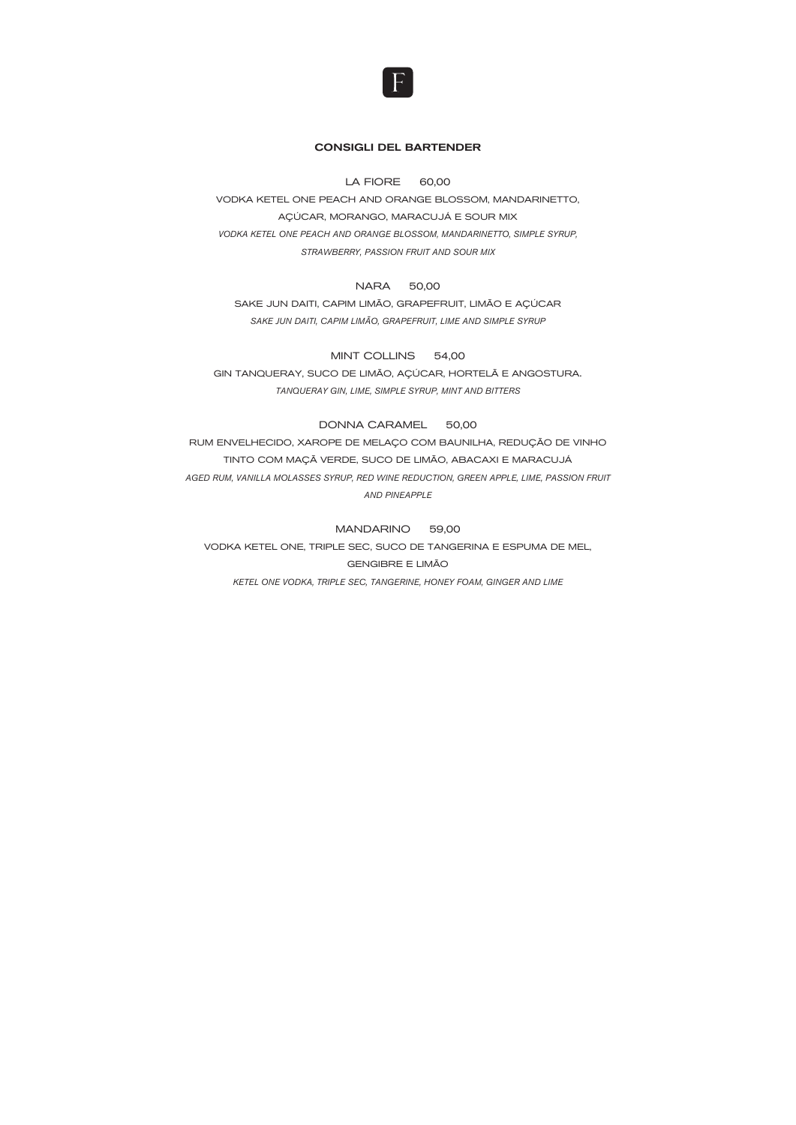

LA FIORE 60,00

VODKA KETEL ONE PEACH AND ORANGE BLOSSOM, MANDARINETTO, AÇÚCAR, MORANGO, MARACUJÁ E SOUR MIX *VODKA KETEL ONE PEACH AND ORANGE BLOSSOM, MANDARINETTO, SIMPLE SYRUP, STRAWBERRY, PASSION FRUIT AND SOUR MIX*

### NARA 50,00

SAKE JUN DAITI, CAPIM LIMÃO, GRAPEFRUIT, LIMÃO E AÇÚCAR *SAKE JUN DAITI, CAPIM LIMÃO, GRAPEFRUIT, LIME AND SIMPLE SYRUP*

#### MINT COLLINS 54,00

GIN TANQUERAY, SUCO DE LIMÃO, AÇÚCAR, HORTELÃ E ANGOSTURA. *TANQUERAY GIN, LIME, SIMPLE SYRUP, MINT AND BITTERS*

#### DONNA CARAMEL 50,00

RUM ENVELHECIDO, XAROPE DE MELAÇO COM BAUNILHA, REDUÇÃO DE VINHO TINTO COM MAÇÃ VERDE, SUCO DE LIMÃO, ABACAXI E MARACUJÁ *AGED RUM, VANILLA MOLASSES SYRUP, RED WINE REDUCTION, GREEN APPLE, LIME, PASSION FRUIT AND PINEAPPLE*

#### MANDARINO 59,00

VODKA KETEL ONE, TRIPLE SEC, SUCO DE TANGERINA E ESPUMA DE MEL, GENGIBRE E LIMÃO *KETEL ONE VODKA, TRIPLE SEC, TANGERINE, HONEY FOAM, GINGER AND LIME*

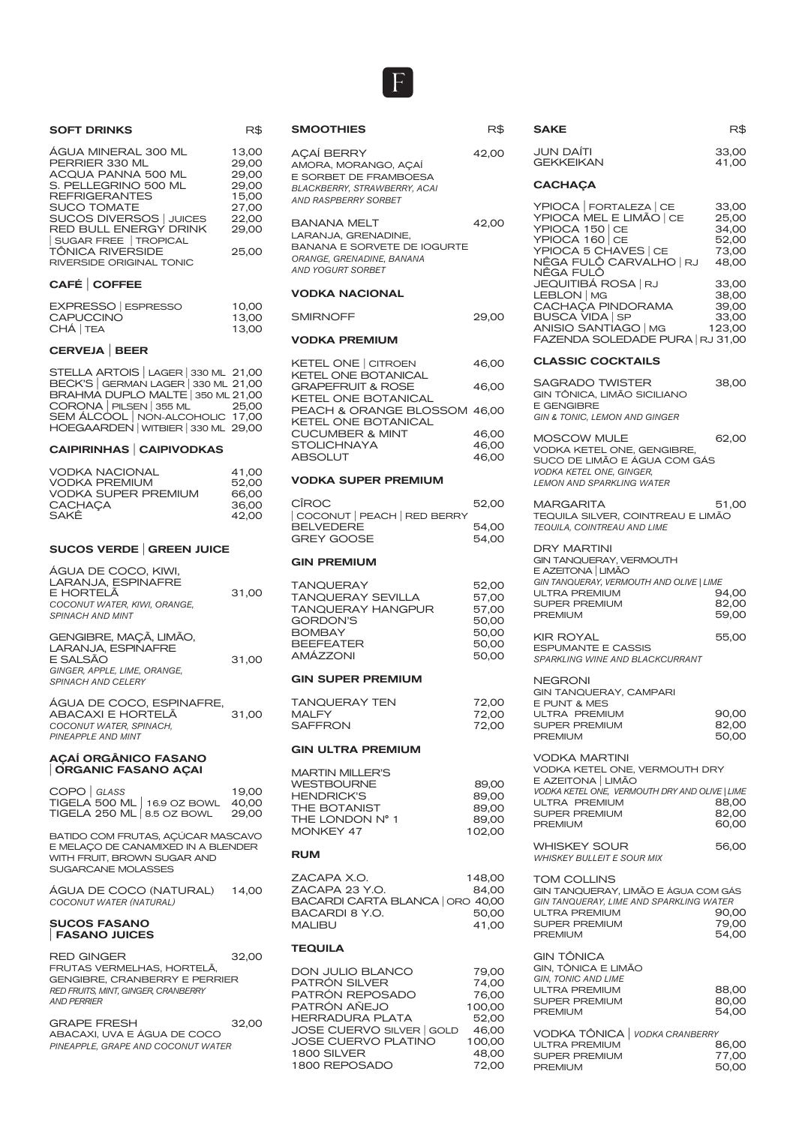### $\vert \Gamma \vert$

| <b>SOFT DRINKS</b>                                                                                                                                                                                                                                             | R\$<br>š                                                                                                                                               |
|----------------------------------------------------------------------------------------------------------------------------------------------------------------------------------------------------------------------------------------------------------------|--------------------------------------------------------------------------------------------------------------------------------------------------------|
| ÁGUA MINERAL 300 ML<br>PERRIER 330 ML<br>ACQUA PANNA 500 ML<br>S. PELLEGRINO 500 ML<br><b>REFRIGERANTES</b><br><b>SUCO TOMATE</b><br>SUCOS DIVERSOS   JUICES<br>RED BULL ENERGY DRINK<br>SUGAR FREE   TROPICAL<br>TÔNICA RIVERSIDE<br>RIVERSIDE ORIGINAL TONIC | 13,00<br>I<br>29,00<br>ł<br>29,00<br>E<br>29,00<br>Ŀ<br>15,00<br>ł<br>27,00<br>22,00<br>E<br>29,00<br>L<br>E<br>25,00<br>$\overline{\mathcal{L}}$<br>ł |
| CAFÉ COFFEE                                                                                                                                                                                                                                                    | ١                                                                                                                                                      |
| EXPRESSO   ESPRESSO<br>CAPUCCINO<br>CHÀ   TEA                                                                                                                                                                                                                  | 10,00<br>š<br>13,00<br>13,00<br>١                                                                                                                      |
| CERVEJA   BEER                                                                                                                                                                                                                                                 | ŀ                                                                                                                                                      |
| STELLA ARTOIS   LAGER   330 ML 21,00<br>BECK'S   GERMAN LAGER   330 ML 21,00<br>BRAHMA DUPLO MALTE 350 ML 21,00<br>CORONA   PILSEN   355 ML<br>SEM ÁLCOOL   NON-ALCOHOLIC 17,00<br>HOEGAARDEN   WITBIER   330 ML 29,00                                         | ŀ<br>$\mathbf \zeta$<br>ŀ<br>25,00<br>F<br>ŀ<br>$\mathbf \zeta$                                                                                        |
| <b>CAIPIRINHAS CAIPIVODKAS</b>                                                                                                                                                                                                                                 | ś                                                                                                                                                      |
| VODKA NACIONAL<br>VODKA PREMIUM<br>VODKA SUPER PREMIUM<br><b>CACHACA</b><br>SAKË                                                                                                                                                                               | 41,00<br>52,00<br>66,00<br>$\mathbf \zeta$<br>36,00<br>42,00<br>E                                                                                      |
| SUCOS VERDE GREEN JUICE                                                                                                                                                                                                                                        | $\overline{\phantom{a}}$                                                                                                                               |
| ÁGUA DE COCO, KIWI,<br>LARANJA, ESPINAFRE<br>E HORTELÂ<br>COCONUT WATER, KIWI, ORANGE,<br><b>SPINACH AND MINT</b>                                                                                                                                              | O<br>31,00<br>$\breve{}$                                                                                                                               |
| GENGIBRE, MAÇÃ, LIMÃO,<br>LARANJA, ESPINAFRE<br>E SALSÃO<br>GINGER, APPLE, LIME, ORANGE,<br>SPINACH AND CELERY                                                                                                                                                 | E<br>E<br>ł<br>31,00<br>$\overline{\phantom{a}}$                                                                                                       |
| ÁGUA DE COCO, ESPINAFRE,<br>ABACAXI E HORTELĂ<br>COCONUT WATER, SPINACH,<br>PINEAPPLE AND MINT                                                                                                                                                                 | 31,00<br>ľ                                                                                                                                             |
| <b>AÇAÍ ORGÂNICO FASANO</b><br><b>ORGANIC FASANO AÇAI</b>                                                                                                                                                                                                      | ľ                                                                                                                                                      |
| COPO   GLASS<br>TIGELA 500 ML   16.9 OZ BOWL<br>TIGELA 250 ML   8.5 OZ BOWL                                                                                                                                                                                    | 19,00<br>ŀ<br>40,00<br>29,00                                                                                                                           |
| BATIDO COM FRUTAS, AÇÚCAR MASCAVO<br>E MELAÇO DE CANAMIXED IN A BLENDER<br>WITH FRUIT, BROWN SUGAR AND<br>SUGARCANE MOLASSES                                                                                                                                   | ľ<br>ľ                                                                                                                                                 |
| ÁGUA DE COCO (NATURAL)<br>COCONUT WATER (NATURAL)                                                                                                                                                                                                              | 14.00<br>E                                                                                                                                             |
| <b>SUCOS FASANO</b><br><b>FASANO JUICES</b>                                                                                                                                                                                                                    | E<br>ľ                                                                                                                                                 |
| <b>RED GINGER</b><br>FRUTAS VERMELHAS, HORTELÃ,<br><b>GENGIBRE, CRANBERRY E PERRIER</b><br>RED FRUITS, MINT, GINGER, CRANBERRY<br><b>AND PERRIER</b>                                                                                                           | 32,00<br>c<br>F<br>F<br>F                                                                                                                              |
| <b>GRAPE FRESH</b><br>ABACAXI, UVA E ÁGUA DE COCO<br>PINEAPPLE, GRAPE AND COCONUT WATER                                                                                                                                                                        | 32,00                                                                                                                                                  |

| SMOOTHIES                                                                                                                                                                 | R\$                                                                             |
|---------------------------------------------------------------------------------------------------------------------------------------------------------------------------|---------------------------------------------------------------------------------|
| <b>AÇAÍ BERRY</b><br>AMORA, MORANGO, AÇAÍ<br>E SORBET DE FRAMBOESA<br>BLACKBERRY, STRAWBERRY, ACAI<br>AND RASPBERRY SORBET                                                | 42,00                                                                           |
| <b>BANANA MELT</b><br>LARANJA, GRENADINE,<br><b>BANANA E SORVETE DE IOGURTE</b><br>ORANGE, GRENADINE, BANANA<br><b>AND YOGURT SORBET</b>                                  | 42,00                                                                           |
| <b>VODKA NACIONAL</b>                                                                                                                                                     |                                                                                 |
| <b>SMIRNOFF</b>                                                                                                                                                           | 29,00                                                                           |
| <b>VODKA PREMIUM</b>                                                                                                                                                      |                                                                                 |
| KETEL ONE   CITROEN<br>KETEL ONE BOTANICAL                                                                                                                                | 46,00                                                                           |
| <b>GRAPEFRUIT &amp; ROSE</b><br>KETEL ONE BOTANICAL                                                                                                                       | 46,00                                                                           |
| PEACH & ORANGE BLOSSOM 46,00<br>KETEL ONE BOTANICAL                                                                                                                       |                                                                                 |
| <b>CUCUMBER &amp; MINT</b><br><b>STOLICHNAYA</b><br><b>ABSOLUT</b>                                                                                                        | 46,00<br>46,00<br>46,00                                                         |
| <b>VODKA SUPER PREMIUM</b>                                                                                                                                                |                                                                                 |
| CÎROC<br>COCONUT   PEACH   RED BERRY                                                                                                                                      | 52,00                                                                           |
| <b>BELVEDERE</b><br><b>GREY GOOSE</b>                                                                                                                                     | 54,00<br>54,00                                                                  |
| <b>GIN PREMIUM</b>                                                                                                                                                        |                                                                                 |
| <b>TANQUERAY</b><br><b>TANQUERAY SEVILLA</b><br>TANQUERAY HANGPUR<br><b>GORDON'S</b><br>BOMBAY<br><b>BEEFEATER</b><br>AMÁZZONI                                            | 52,00<br>57,00<br>57,00<br>50,00<br>50,00<br>50,00<br>50,00                     |
| <b>GIN SUPER PREMIUM</b>                                                                                                                                                  |                                                                                 |
| <b>TANQUERAY TEN</b><br>MALFY<br>SAFFRON                                                                                                                                  | 72,00<br>72,00<br>72,00                                                         |
| <b>GIN ULTRA PREMIUM</b>                                                                                                                                                  |                                                                                 |
| MARTIN MILLER'S<br><b>WESTBOURNE</b><br><b>HENDRICK'S</b><br>THE BOTANIST<br>THE LONDON N° 1<br><b>MONKEY 47</b>                                                          | 89,00<br>89,00<br>89,00<br>89,00<br>102,00                                      |
| <b>RUM</b>                                                                                                                                                                |                                                                                 |
| ZACAPA X.O.<br>ZACAPA 23 Y.O.<br>BACARDI CARTA BLANCA   ORO 40,00<br>BACARDI 8 Y.O.<br><b>MALIBU</b>                                                                      | 148,00<br>84,00<br>50,00<br>41,00                                               |
| TEQUILA                                                                                                                                                                   |                                                                                 |
| DON JULIO BLANCO<br>PATRÓN SILVER<br>PATRÓN REPOSADO<br>PATRÓN AÑEJO<br>HERRADURA PLATA<br>JOSE CUERVO SILVER GOLD<br>JOSE CUERVO PLATINO<br>1800 SILVER<br>1800 REPOSADO | 79,00<br>74,00<br>76,00<br>100,00<br>52,00<br>46,00<br>100,00<br>48,00<br>72,00 |

| <b>SAKE</b>                                                                                                                                                                                                                                                                                      | R\$                                                                                              |
|--------------------------------------------------------------------------------------------------------------------------------------------------------------------------------------------------------------------------------------------------------------------------------------------------|--------------------------------------------------------------------------------------------------|
| JUN DAİTI<br><b>GEKKEIKAN</b>                                                                                                                                                                                                                                                                    | 33,00<br>41,00                                                                                   |
| <b>CACHAÇA</b>                                                                                                                                                                                                                                                                                   |                                                                                                  |
| YPIOCA   FORTALEZA   CE<br>YPIOCA MEL E LIMÃO   CE<br>YPIOCA 150   CE<br>YPIOCA 160 CE<br>YPIOCA 5 CHAVES   CE<br>NÊGA FULÔ CARVALHO   RJ<br>NÊGA FULÔ<br>JEQUITIBÁ ROSA   RJ<br>LEBLON   MG<br>CACHAÇA PINDORAMA<br>BUSCA VIDA   SP<br>ANISIO SANTIAGO   MG<br>FAZENDA SOLEDADE PURA   RJ 31,00 | 33,00<br>25,00<br>34,00<br>52,00<br>73,00<br>48,00<br>33,00<br>38,00<br>39,00<br>33,00<br>123,00 |
| <b>CLASSIC COCKTAILS</b>                                                                                                                                                                                                                                                                         |                                                                                                  |
| <b>SAGRADO TWISTER</b><br>GIN TÔNICA, LIMÃO SICILIANO<br><b>E GENGIBRE</b><br>GIN & TONIC, LEMON AND GINGER                                                                                                                                                                                      | 38,00                                                                                            |
| <b>MOSCOW MULE</b><br>VODKA KETEL ONE, GENGIBRE,<br>SUCO DE LIMÃO E ÁGUA COM GÁS<br>VODKA KETEL ONE, GINGER,<br><b>LEMON AND SPARKLING WATER</b>                                                                                                                                                 | 62,00                                                                                            |
| MARGARITA<br>TEQUILA SILVER, COINTREAU E LIMÃO<br>TEQUILA, COINTREAU AND LIME                                                                                                                                                                                                                    | 51,00                                                                                            |
| <b>DRY MARTINI</b><br>GIN TANQUERAY, VERMOUTH<br>E AZEITONA   LIMÃO<br>GIN TANQUERAY, VERMOUTH AND OLIVE   LIME<br>ULTRA PREMIUM<br>SUPER PREMIUM<br><b>PREMIUM</b>                                                                                                                              | 94,00<br>82,00<br>59,00                                                                          |
| KIR ROYAL<br><b>ESPUMANTE E CASSIS</b><br>SPARKLING WINE AND BLACKCURRANT                                                                                                                                                                                                                        | 55,00                                                                                            |
| NEGRONI<br>GIN TANQUERAY, CAMPARI<br>E PUNT & MES<br>ULTRA PREMIUM<br>SUPER PREMIUM<br><b>PREMIUM</b>                                                                                                                                                                                            | 90,00<br>82,00<br>50,00                                                                          |
| <b>VODKA MARTINI</b><br>VODKA KETEL ONE, VERMOUTH DRY                                                                                                                                                                                                                                            |                                                                                                  |
| E AZEITONA   LIMÃO<br>VODKA KETEL ONE, VERMOUTH DRY AND OLIVE   LIME<br>ULTRA PREMIUM<br><b>SUPER PREMIUM</b><br><b>PREMIUM</b>                                                                                                                                                                  | 88,00<br>82,00<br>60,00                                                                          |
| WHISKEY SOUR<br><b>WHISKEY BULLEIT E SOUR MIX</b>                                                                                                                                                                                                                                                | 56,00                                                                                            |
| <b>TOM COLLINS</b><br>GIN TANQUERAY, LIMÃO E ÁGUA COM GÁS<br>GIN TANQUERAY, LIME AND SPARKLING WATER<br><b>ULTRA PREMIUM</b><br>SUPER PREMIUM<br><b>PREMIUM</b>                                                                                                                                  | 90,00<br>79,00<br>54,00                                                                          |
| <b>GIN TÔNICA</b><br>GIN, TÔNICA E LIMÃO<br>GIN, TONIC AND LIME<br>ULTRA PREMIUM<br><b>SUPER PREMIUM</b><br><b>PREMIUM</b>                                                                                                                                                                       | 88,00<br>80,00<br>54,00                                                                          |
| VODKA TÔNICA   VODKA CRANBERRY<br><b>ULTRA PREMIUM</b><br>SUPER PREMIUM<br>PREMIUM                                                                                                                                                                                                               | 86,00<br>77,00<br>50,00                                                                          |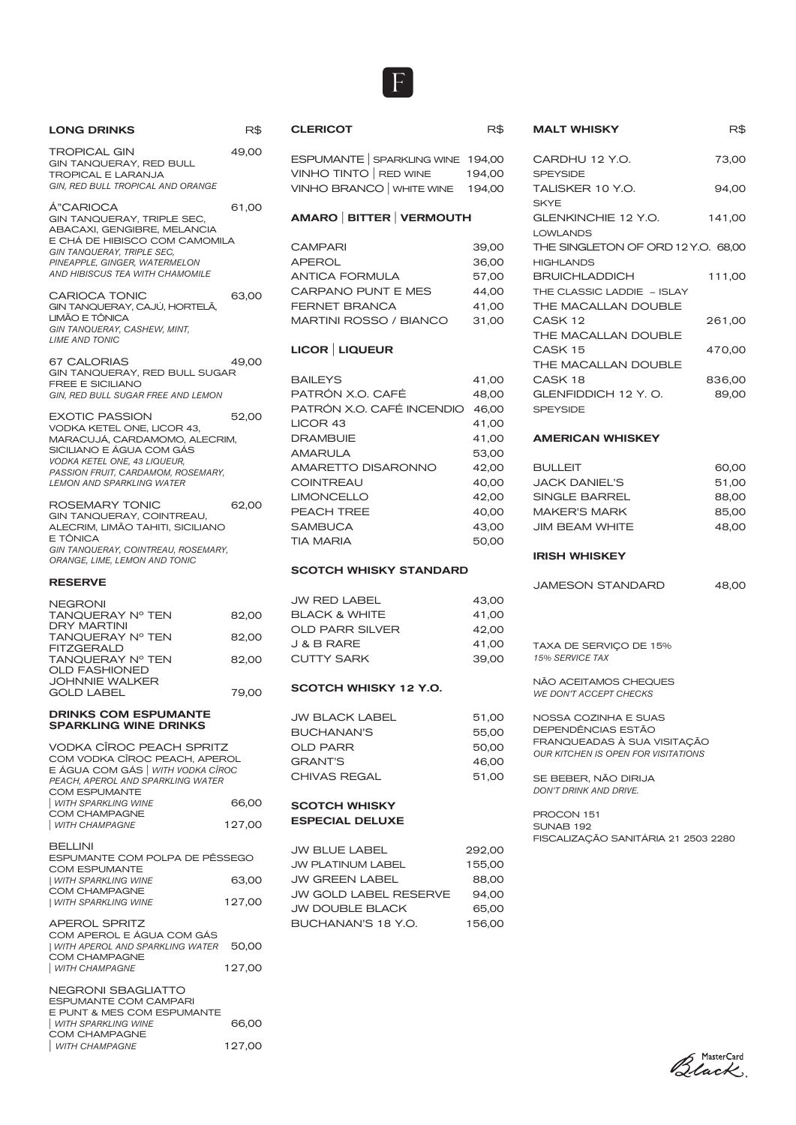| <b>LONG DRINKS</b>                                                                                                                                                                                                                                    | R\$             |
|-------------------------------------------------------------------------------------------------------------------------------------------------------------------------------------------------------------------------------------------------------|-----------------|
| <b>TROPICAL GIN</b><br>GIN TANQUERAY, RED BULL<br><b>TROPICAL E LARANJA</b><br>GIN, RED BULL TROPICAL AND ORANGE                                                                                                                                      | 49,00           |
| À"CARIOCA<br>GIN TANQUERAY, TRIPLE SEC,<br>ABACAXI, GENGIBRE, MELANCIA<br>E CHÁ DE HIBISCO COM CAMOMILA<br>GIN TANQUERAY, TRIPLE SEC,<br>PINEAPPLE, GINGER, WATERMELON<br>AND HIBISCUS TEA WITH CHAMOMILE                                             | 61,00           |
| CARIOCA TONIC<br>GIN TANQUERAY, CAJÚ, HORTELÃ,<br>LIMÃO E TÔNICA<br>GIN TANQUERAY, CASHEW, MINT,<br><b>LIME AND TONIC</b>                                                                                                                             | 63,00           |
| 67 CALORIAS<br>GIN TANQUERAY, RED BULL SUGAR<br><b>FREE E SICILIANO</b><br>GIN. RED BULL SUGAR FREE AND LEMON                                                                                                                                         | 49,00           |
| <b>EXOTIC PASSION</b><br>VODKA KETEL ONE, LICOR 43,<br>MARACUJÁ, CARDAMOMO, ALECRIM.<br>SICILIANO E ÁGUA COM GÁS<br>VODKA KETEL ONE, 43 LIQUEUR,<br>PASSION FRUIT, CARDAMOM, ROSEMARY,<br><b>LEMON AND SPARKLING WATER</b>                            | 52,00           |
| ROSEMARY TONIC<br>GIN TANQUERAY, COINTREAU,<br>ALECRIM, LIMÃO TAHITI, SICILIANO<br>E TÔNICA<br>GIN TANQUERAY, COINTREAU, ROSEMARY,<br>ORANGE, LIME, LEMON AND TONIC                                                                                   | 62,00           |
| <b>RESERVE</b>                                                                                                                                                                                                                                        |                 |
| <b>NEGRONI</b><br>TANQUERAY Nº TEN<br><b>DRY MARTINI</b>                                                                                                                                                                                              | 82,00           |
| TANQUERAY Nº TEN<br>FITZGERALD<br>TANQUERAY Nº TEN<br><b>OLD FASHIONED</b><br><b>JOHNNIE WALKER</b>                                                                                                                                                   | 82,00<br>82,00  |
| <b>GOLD LABEL</b><br><b>DRINKS COM ESPUMANTE</b>                                                                                                                                                                                                      | 79,00           |
| <b>SPARKLING WINE DRINKS</b><br>VODKA CÎROC PEACH SPRITZ<br>COM VODKA CÎROC PEACH, APEROL<br>E ÁGUA COM GÁS   WITH VODKA CÎROC<br>PEACH, APEROL AND SPARKLING WATER<br><b>COM ESPUMANTE</b><br>WITH SPARKLING WINE<br>COM CHAMPAGNE<br>WITH CHAMPAGNE | 66,00<br>127,00 |
| <b>BELLINI</b><br>ESPUMANTE COM POLPA DE PÊSSEGO<br><b>COM ESPUMANTE</b>                                                                                                                                                                              |                 |
| <b>WITH SPARKLING WINE</b><br>COM CHAMPAGNE                                                                                                                                                                                                           | 63,00           |
| <b>WITH SPARKLING WINE</b>                                                                                                                                                                                                                            | 127,00          |
| <b>APEROL SPRITZ</b><br>COM APEROL E ÁGUA COM GÁS<br>WITH APEROL AND SPARKLING WATER<br>COM CHAMPAGNE<br>WITH CHAMPAGNE                                                                                                                               | 50,00<br>127,00 |
| <b>NEGRONI SBAGLIATTO</b><br><b>ESPUMANTE COM CAMPARI</b>                                                                                                                                                                                             |                 |
| E PUNT & MES COM ESPUMANTE<br>  WITH SPARKLING WINE                                                                                                                                                                                                   | 66,00           |
| COM CHAMPAGNE<br>WITH CHAMPAGNE                                                                                                                                                                                                                       | 127,00          |

### CLERICOT R\$

ESPUMANTE | SPARKLING WINE 194,00 VINHO TINTO | RED WINE 194,00 VINHO BRANCO | WHITE WINE 194,00

#### AMARO | BITTER | VERMOUTH

| <b>CAMPARI</b>                | 39,00 |
|-------------------------------|-------|
| <b>APEROL</b>                 | 36.00 |
| <b>ANTICA FORMULA</b>         | 57.00 |
| CARPANO PUNT E MES            | 44.00 |
| FERNET BRANCA                 | 41.00 |
| <b>MARTINI ROSSO / BIANCO</b> | 31,00 |

#### LICOR | LIQUEUR

| <b>BAILEYS</b>            | 41.00 |
|---------------------------|-------|
| PATRÓN X.O. CAFÉ          | 48,00 |
| PATRÓN X.O. CAFÉ INCENDIO | 46.00 |
| LICOR 43                  | 41,00 |
| <b>DRAMBUIE</b>           | 41.00 |
| <b>AMARULA</b>            | 53.00 |
| AMARETTO DISARONNO        | 42.00 |
| <b>COINTREAU</b>          | 40.00 |
| <b>LIMONCELLO</b>         | 42,00 |
| PEACH TREE                | 40.00 |
| <b>SAMBUCA</b>            | 43.00 |
| <b>TIA MARIA</b>          | 50.00 |

#### SCOTCH WHISKY STANDARD

| <b>JW RED LABEL</b>      | 43.00 |
|--------------------------|-------|
| <b>BLACK &amp; WHITE</b> | 41.00 |
| <b>OLD PARR SILVER</b>   | 42.00 |
| J & B RARE               | 41.00 |
| <b>CUTTY SARK</b>        | 39,00 |

#### SCOTCH WHISKY 12 Y.O.

| <b>JW BLACK LABEL</b> | 51.00 |
|-----------------------|-------|
| BUCHANAN'S            | 55.00 |
| OLD PARR              | 50.00 |
| <b>GRANT'S</b>        | 46.00 |
| CHIVAS REGAL          | 51.00 |
|                       |       |

#### SCOTCH WHISKY ESPECIAL DELUXE

JW BLUE LABEL 292,00 JW PLATINUM LABEL 155,00 JW GREEN LABEL 88,00 JW GOLD LABEL RESERVE 94,00 JW DOUBLE BLACK 65,00 BUCHANAN'S 18 Y.O. 156,00

#### MALT WHISKY R\$

| CARDHU 12 Y.O.                    | 73,00  |
|-----------------------------------|--------|
| <b>SPEYSIDE</b>                   |        |
| TALISKER 10 Y.O.                  | 94,00  |
| <b>SKYE</b>                       |        |
| GLENKINCHIE 12 Y.O.               | 141,00 |
| <b>LOWLANDS</b>                   |        |
| THE SINGLETON OF ORD 12Y.O. 68,00 |        |
| <b>HIGHLANDS</b>                  |        |
| <b>BRUICHLADDICH</b>              | 111,00 |
| THE CLASSIC LADDIE - ISLAY        |        |
| THE MACALLAN DOUBLE               |        |
| CASK <sub>12</sub>                | 261,00 |
| THE MACALLAN DOUBLE               |        |
| CASK <sub>15</sub>                | 470.00 |
| THE MACALLAN DOUBLE               |        |
| CASK 18                           | 836,00 |
| GLENFIDDICH 12 Y.O.               | 89,00  |
| <b>SPEYSIDE</b>                   |        |

#### AMERICAN WHISKEY

| BULLEIT              | 60.00 |
|----------------------|-------|
| <b>JACK DANIEL'S</b> | 51.00 |
| SINGLE BARREL        | 88.00 |
| <b>MAKER'S MARK</b>  | 85.00 |
| JIM BEAM WHITE       | 48.00 |

#### IRISH WHISKEY

| <b>JAMESON STANDARD</b> | 48,00 |
|-------------------------|-------|
|                         |       |
|                         |       |

TAXA DE SERVIÇO DE 15% *15% SERVICE TAX*

#### NÃO ACEITAMOS CHEQUES *WE DON'T ACCEPT CHECKS*

NOSSA COZINHA E SUAS DEPENDÊNCIAS ESTÃO FRANQUEADAS À SUA VISITAÇÃO *OUR KITCHEN IS OPEN FOR VISITATIONS*

SE BEBER, NÃO DIRIJA *DON'T DRINK AND DRIVE.*

PROCON 151 SUNAB 192 FISCALIZAÇÃO SANITÁRIA 21 2503 2280

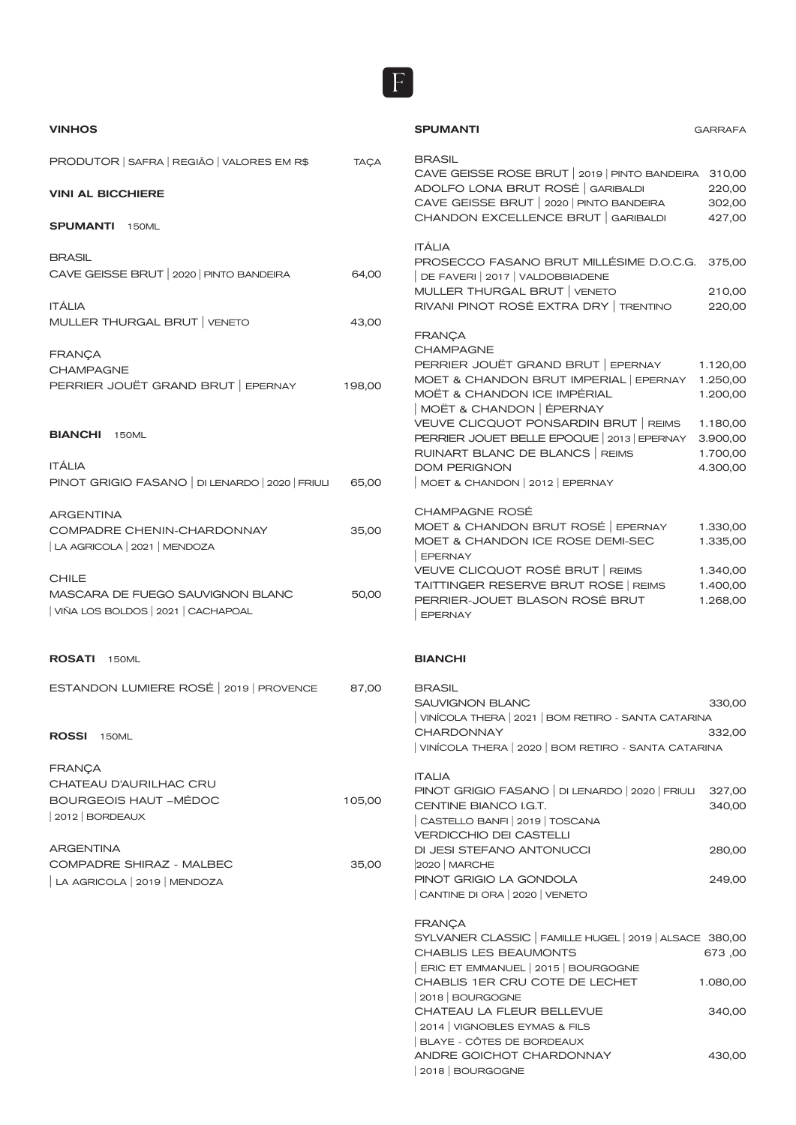| <b>VINHOS</b>                                    |             | <b>SPUMANTI</b>                                                                | <b>GARRAFA</b>       |
|--------------------------------------------------|-------------|--------------------------------------------------------------------------------|----------------------|
| PRODUTOR   SAFRA   REGIÃO   VALORES EM R\$       | <b>TAÇA</b> | <b>BRASIL</b><br>CAVE GEISSE ROSE BRUT   2019   PINTO BANDEIRA                 | 310,00               |
| <b>VINI AL BICCHIERE</b>                         |             | ADOLFO LONA BRUT ROSÉ   GARIBALDI<br>CAVE GEISSE BRUT   2020   PINTO BANDEIRA  | 220,00<br>302,00     |
| <b>SPUMANTI</b> 150ML                            |             | CHANDON EXCELLENCE BRUT   GARIBALDI                                            | 427,00               |
| <b>BRASIL</b>                                    |             | <b>ITÁLIA</b><br>PROSECCO FASANO BRUT MILLÉSIME D.O.C.G.                       | 375,00               |
| CAVE GEISSE BRUT   2020   PINTO BANDEIRA         | 64,00       | DE FAVERI   2017   VALDOBBIADENE<br>MULLER THURGAL BRUT   VENETO               | 210,00               |
| <b>ITÁLIA</b>                                    |             | RIVANI PINOT ROSÉ EXTRA DRY   TRENTINO                                         | 220,00               |
| MULLER THURGAL BRUT   VENETO                     | 43,00       | <b>FRANÇA</b>                                                                  |                      |
| <b>FRANÇA</b>                                    |             | <b>CHAMPAGNE</b>                                                               |                      |
| <b>CHAMPAGNE</b>                                 |             | PERRIER JOUËT GRAND BRUT   EPERNAY<br>MOET & CHANDON BRUT IMPERIAL   EPERNAY   | 1.120,00<br>1.250,00 |
| PERRIER JOUËT GRAND BRUT   EPERNAY               | 198,00      | MOËT & CHANDON ICE IMPÉRIAL<br>MOËT & CHANDON   ÉPERNAY                        | 1.200,00             |
| <b>BIANCHI</b> 150ML                             |             | VEUVE CLICQUOT PONSARDIN BRUT   REIMS                                          | 1.180,00             |
|                                                  |             | PERRIER JOUET BELLE EPOQUE   2013   EPERNAY<br>RUINART BLANC DE BLANCS   REIMS | 3.900,00<br>1.700,00 |
| <b>ITÁLIA</b>                                    |             | <b>DOM PERIGNON</b>                                                            | 4.300,00             |
| PINOT GRIGIO FASANO   DI LENARDO   2020   FRIULI | 65,00       | MOET & CHANDON   2012   EPERNAY                                                |                      |
| <b>ARGENTINA</b>                                 |             | <b>CHAMPAGNE ROSÉ</b>                                                          |                      |
| COMPADRE CHENIN-CHARDONNAY                       | 35,00       | MOET & CHANDON BRUT ROSÉ EPERNAY                                               | 1.330,00             |
| LA AGRICOLA   2021   MENDOZA                     |             | MOET & CHANDON ICE ROSE DEMI-SEC<br><b>EPERNAY</b>                             | 1.335,00             |
| <b>CHILE</b>                                     |             | VEUVE CLICQUOT ROSÉ BRUT   REIMS                                               | 1.340,00             |
| MASCARA DE FUEGO SAUVIGNON BLANC                 | 50,00       | TAITTINGER RESERVE BRUT ROSE   REIMS                                           | 1.400,00             |
| VIÑA LOS BOLDOS   2021   CACHAPOAL               |             | PERRIER-JOUET BLASON ROSÉ BRUT<br><b>EPERNAY</b>                               | 1.268,00             |
| <b>ROSATI</b> 150ML                              |             | <b>BIANCHI</b>                                                                 |                      |
| ESTANDON LUMIERE ROSÉ   2019   PROVENCE          | 87,00       | <b>BRASIL</b>                                                                  |                      |
|                                                  |             | SAUVIGNON BLANC                                                                | 330,00               |
| ROSSI 150ML                                      |             | VINÍCOLA THERA   2021   BOM RETIRO - SANTA CATARINA<br><b>CHARDONNAY</b>       | 332,00               |
|                                                  |             | VINÍCOLA THERA   2020   BOM RETIRO - SANTA CATARINA                            |                      |
| <b>FRANÇA</b>                                    |             | <b>ITALIA</b>                                                                  |                      |
| CHATEAU D'AURILHAC CRU<br>BOURGEOIS HAUT -MÉDOC  | 105,00      | PINOT GRIGIO FASANO   DI LENARDO   2020   FRIULI                               | 327,00               |
| $ 2012 $ BORDEAUX                                |             | CENTINE BIANCO I.G.T.<br>CASTELLO BANFI   2019   TOSCANA                       | 340,00               |
|                                                  |             | VERDICCHIO DEI CASTELLI                                                        |                      |
| <b>ARGENTINA</b>                                 |             | DI JESI STEFANO ANTONUCCI                                                      | 280,00               |
| COMPADRE SHIRAZ - MALBEC                         | 35,00       | $ 2020 $ MARCHE                                                                |                      |
| LA AGRICOLA   2019   MENDOZA                     |             | PINOT GRIGIO LA GONDOLA<br>CANTINE DI ORA   2020   VENETO                      | 249,00               |
|                                                  |             | <b>FRANÇA</b>                                                                  |                      |
|                                                  |             | SYLVANER CLASSIC   FAMILLE HUGEL   2019   ALSACE 380,00                        |                      |
|                                                  |             | <b>CHABLIS LES BEAUMONTS</b><br>ERIC ET EMMANUEL   2015   BOURGOGNE            | 673,00               |
|                                                  |             | CHABLIS 1ER CRU COTE DE LECHET                                                 | 1.080,00             |
|                                                  |             | 2018 BOURGOGNE                                                                 |                      |
|                                                  |             | CHATEAU LA FLEUR BELLEVUE                                                      | 340,00               |
|                                                  |             | 2014   VIGNOBLES EYMAS & FILS<br>BLAYE - CÔTES DE BORDEAUX                     |                      |
|                                                  |             | ANDRE GOICHOT CHARDONNAY                                                       | 430,00               |
|                                                  |             | 2018   BOURGOGNE                                                               |                      |

## $\blacksquare$